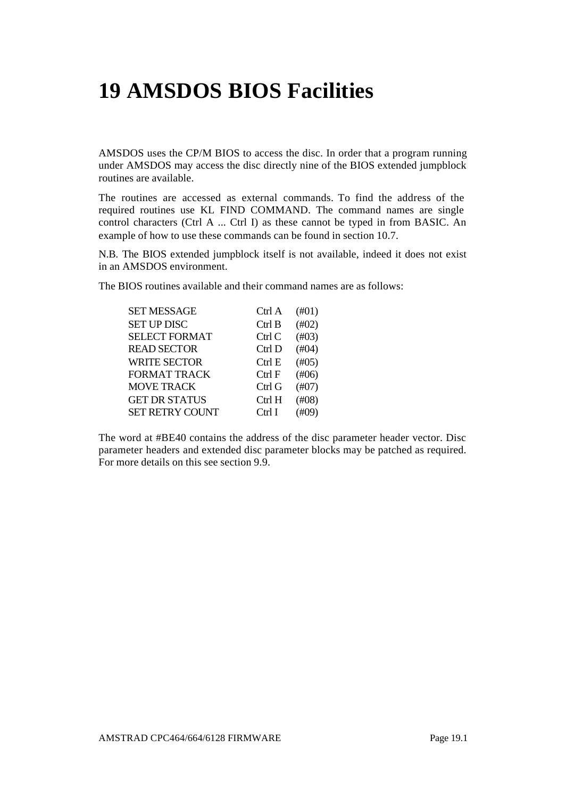# **19 AMSDOS BIOS Facilities**

AMSDOS uses the CP/M BIOS to access the disc. In order that a program running under AMSDOS may access the disc directly nine of the BIOS extended jumpblock routines are available.

The routines are accessed as external commands. To find the address of the required routines use KL FIND COMMAND. The command names are single control characters (Ctrl A ... Ctrl I) as these cannot be typed in from BASIC. An example of how to use these commands can be found in section 10.7.

N.B. The BIOS extended jumpblock itself is not available, indeed it does not exist in an AMSDOS environment.

The BIOS routines available and their command names are as follows:

| <b>SET MESSAGE</b>     | Ctrl A    | (H01)    |
|------------------------|-----------|----------|
| <b>SET UP DISC</b>     | Ctrl B    | (H02)    |
| <b>SELECT FORMAT</b>   | Ctrl C    | (H03)    |
| <b>READ SECTOR</b>     | Ctrl D    | (H04)    |
| <b>WRITE SECTOR</b>    | Ctrl E    | (H05)    |
| <b>FORMAT TRACK</b>    | Ctrl F    | (H06)    |
| <b>MOVE TRACK</b>      | $C$ trl G | (H07)    |
| <b>GET DR STATUS</b>   | $C$ trl H | (H08)    |
| <b>SET RETRY COUNT</b> | Ctrl I    | $(\#09)$ |

The word at #BE40 contains the address of the disc parameter header vector. Disc parameter headers and extended disc parameter blocks may be patched as required. For more details on this see section 9.9.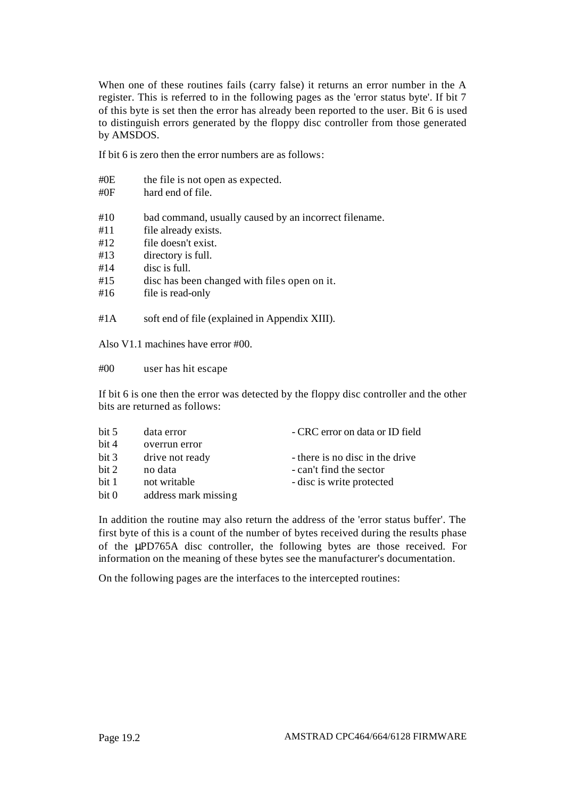When one of these routines fails (carry false) it returns an error number in the A register. This is referred to in the following pages as the 'error status byte'. If bit 7 of this byte is set then the error has already been reported to the user. Bit 6 is used to distinguish errors generated by the floppy disc controller from those generated by AMSDOS.

If bit 6 is zero then the error numbers are as follows:

| # $0E$<br># $0F$ | the file is not open as expected.<br>hard end of file. |
|------------------|--------------------------------------------------------|
| #10              | bad command, usually caused by an incorrect filename.  |
| #11              | file already exists.                                   |
| #12              | file doesn't exist.                                    |
| #13              | directory is full.                                     |
| #14              | disc is full.                                          |
| #15              | disc has been changed with files open on it.           |
| #16              | file is read-only                                      |
| #1 A             | soft end of file (explained in Appendix XIII).         |

Also V1.1 machines have error #00.

#00 user has hit escape

If bit 6 is one then the error was detected by the floppy disc controller and the other bits are returned as follows:

| bit 5 | data error           | - CRC error on data or ID field |
|-------|----------------------|---------------------------------|
| bit 4 | overrun error        |                                 |
| bit 3 | drive not ready      | - there is no disc in the drive |
| bit 2 | no data              | - can't find the sector         |
| bit 1 | not writable         | - disc is write protected       |
| bit 0 | address mark missing |                                 |

In addition the routine may also return the address of the 'error status buffer'. The first byte of this is a count of the number of bytes received during the results phase of the μPD765A disc controller, the following bytes are those received. For information on the meaning of these bytes see the manufacturer's documentation.

On the following pages are the interfaces to the intercepted routines: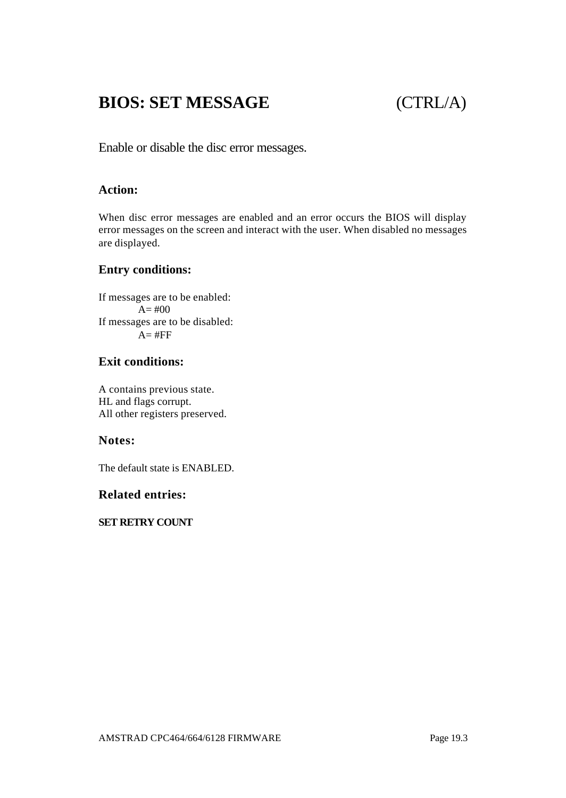## **BIOS: SET MESSAGE** (CTRL/A)

Enable or disable the disc error messages.

#### **Action:**

When disc error messages are enabled and an error occurs the BIOS will display error messages on the screen and interact with the user. When disabled no messages are displayed.

#### **Entry conditions:**

If messages are to be enabled:  $A=$  #00 If messages are to be disabled:  $A=$ #FF

### **Exit conditions:**

A contains previous state. HL and flags corrupt. All other registers preserved.

#### **Notes:**

The default state is ENABLED.

#### **Related entries:**

**SET RETRY COUNT**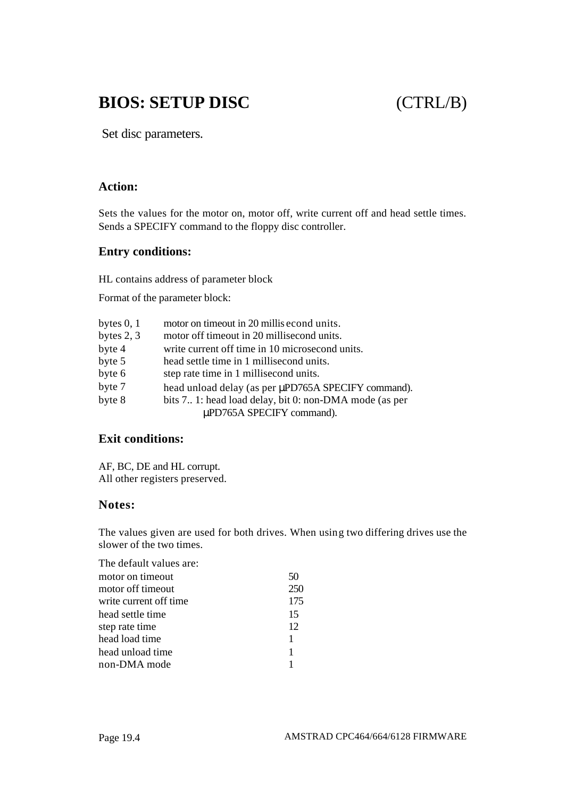## **BIOS: SETUP DISC** (CTRL/B)

Set disc parameters.

#### **Action:**

Sets the values for the motor on, motor off, write current off and head settle times. Sends a SPECIFY command to the floppy disc controller.

#### **Entry conditions:**

HL contains address of parameter block

Format of the parameter block:

| bytes $0, 1$ | motor on timeout in 20 millis econd units.             |  |
|--------------|--------------------------------------------------------|--|
| bytes $2, 3$ | motor off timeout in 20 millisecond units.             |  |
| byte 4       | write current off time in 10 microsecond units.        |  |
| byte 5       | head settle time in 1 millisecond units.               |  |
| byte 6       | step rate time in 1 millisecond units.                 |  |
| byte 7       | head unload delay (as per µPD765A SPECIFY command).    |  |
| byte 8       | bits 7 1: head load delay, bit 0: non-DMA mode (as per |  |
|              | μPD765A SPECIFY command).                              |  |

#### **Exit conditions:**

AF, BC, DE and HL corrupt. All other registers preserved.

#### **Notes:**

The values given are used for both drives. When using two differing drives use the slower of the two times.

| The default values are: |     |
|-------------------------|-----|
| motor on timeout        | 50  |
| motor off timeout       | 250 |
| write current off time  | 175 |
| head settle time        | 15  |
| step rate time          | 12  |
| head load time          | 1   |
| head unload time        | 1   |
| non-DMA mode            |     |
|                         |     |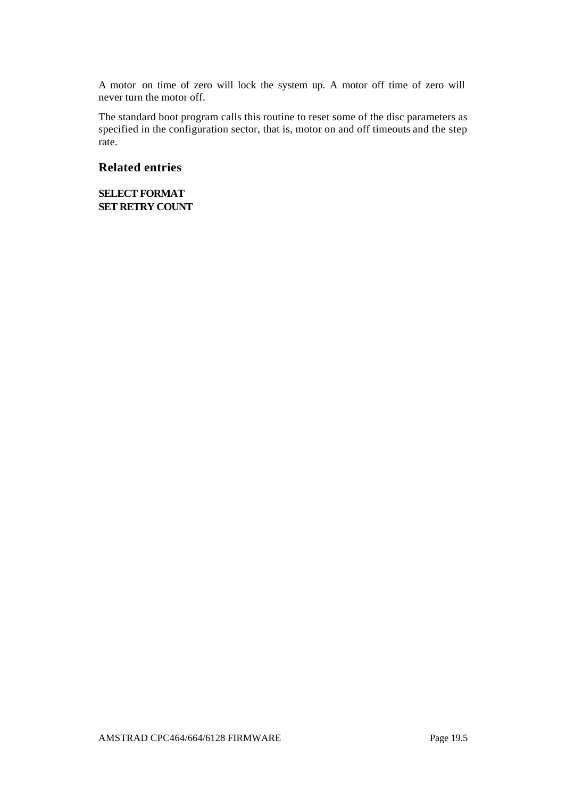A motor on time of zero will lock the system up. A motor off time of zero will never turn the motor off.

The standard boot program calls this routine to reset some of the disc parameters as specified in the configuration sector, that is, motor on and off timeouts and the step rate.

#### **Related entries**

**SELECT FORMAT SET RETRY COUNT**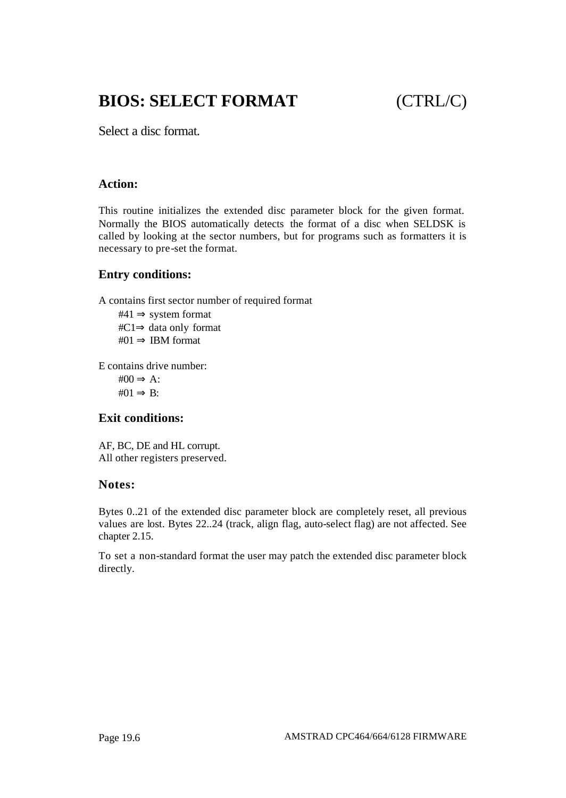## **BIOS: SELECT FORMAT** (CTRL/C)

Select a disc format.

#### **Action:**

This routine initializes the extended disc parameter block for the given format. Normally the BIOS automatically detects the format of a disc when SELDSK is called by looking at the sector numbers, but for programs such as formatters it is necessary to pre-set the format.

#### **Entry conditions:**

A contains first sector number of required format

 $#41 \Rightarrow$  system format #C1⇒ data only format #01  $\Rightarrow$  IBM format

E contains drive number:

 $\text{\#}00 \Rightarrow A$ :  $#01 \Rightarrow B:$ 

#### **Exit conditions:**

AF, BC, DE and HL corrupt. All other registers preserved.

#### **Notes:**

Bytes 0..21 of the extended disc parameter block are completely reset, all previous values are lost. Bytes 22..24 (track, align flag, auto-select flag) are not affected. See chapter 2.15.

To set a non-standard format the user may patch the extended disc parameter block directly.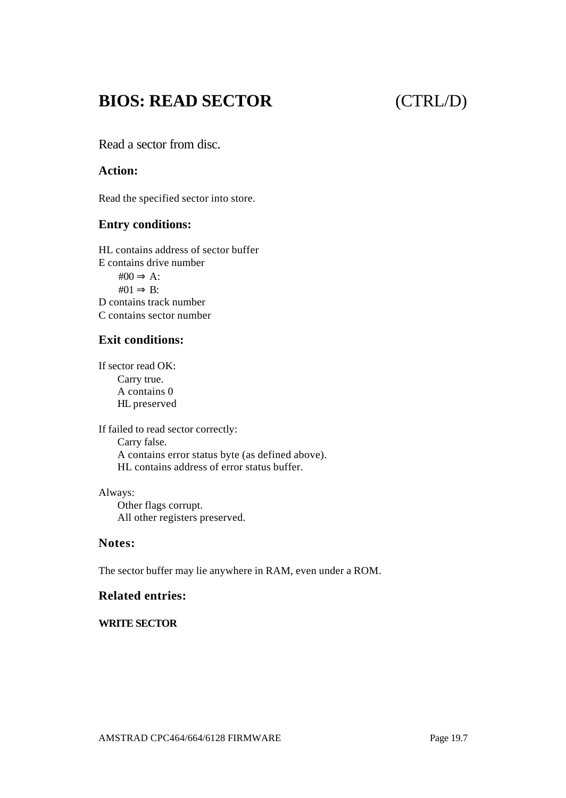## **BIOS: READ SECTOR** (CTRL/D)

Read a sector from disc.

#### **Action:**

Read the specified sector into store.

#### **Entry conditions:**

HL contains address of sector buffer E contains drive number  $\text{\#}00 \Rightarrow A$ :  $#01 \Rightarrow B:$ D contains track number C contains sector number

#### **Exit conditions:**

If sector read OK: Carry true. A contains 0 HL preserved

If failed to read sector correctly: Carry false. A contains error status byte (as defined above). HL contains address of error status buffer.

Always: Other flags corrupt. All other registers preserved.

#### **Notes:**

The sector buffer may lie anywhere in RAM, even under a ROM.

#### **Related entries:**

#### **WRITE SECTOR**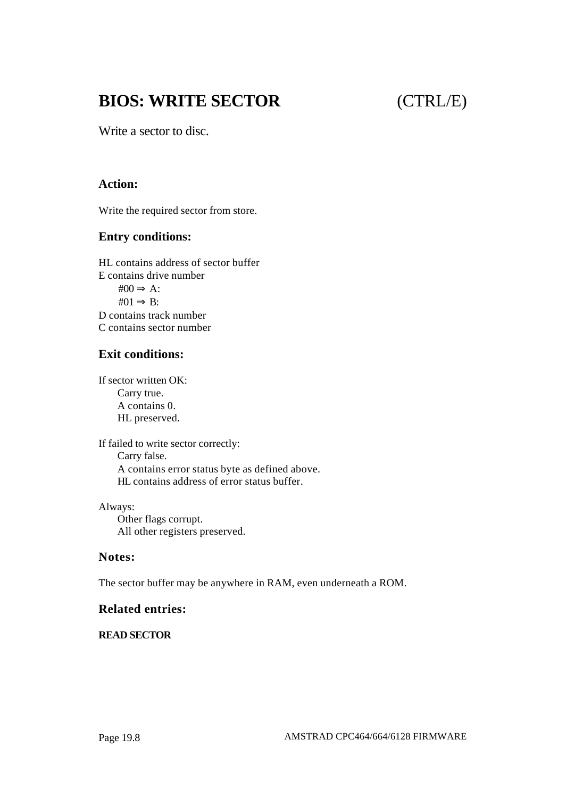## **BIOS: WRITE SECTOR** (CTRL/E)

Write a sector to disc.

#### **Action:**

Write the required sector from store.

#### **Entry conditions:**

HL contains address of sector buffer E contains drive number  $\text{\#}00 \Rightarrow A$ :  $#01 \Rightarrow B:$ D contains track number C contains sector number

#### **Exit conditions:**

If sector written OK: Carry true. A contains 0. HL preserved.

If failed to write sector correctly: Carry false. A contains error status byte as defined above. HL contains address of error status buffer.

Always: Other flags corrupt. All other registers preserved.

#### **Notes:**

The sector buffer may be anywhere in RAM, even underneath a ROM.

#### **Related entries:**

#### **READ SECTOR**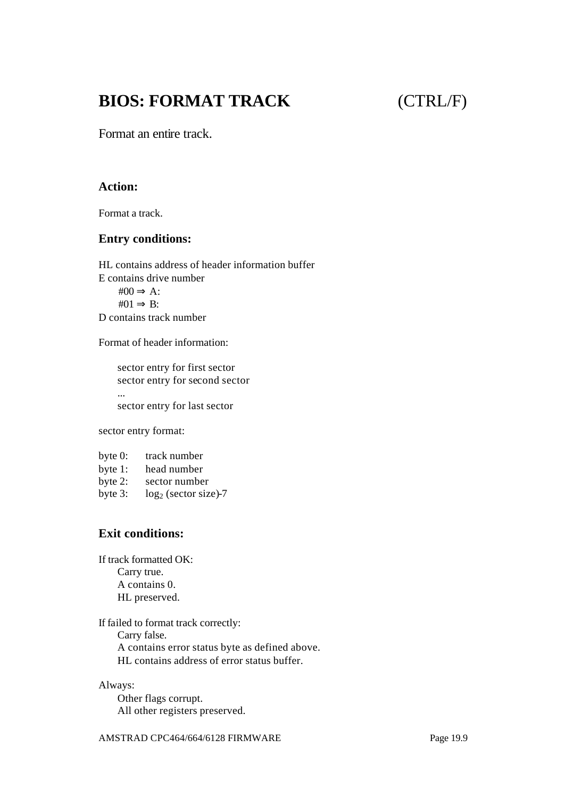## **BIOS: FORMAT TRACK** (CTRL/F)

Format an entire track.

#### **Action:**

Format a track.

#### **Entry conditions:**

HL contains address of header information buffer E contains drive number  $\text{\#}00 \Rightarrow A$ :  $#01 \Rightarrow B:$ D contains track number

Format of header information:

sector entry for first sector sector entry for second sector ... sector entry for last sector

sector entry format:

| byte $0$ : | track number           |
|------------|------------------------|
| byte $1$ : | head number            |
| byte $2$ : | sector number          |
| byte $3$ : | $log2$ (sector size)-7 |

### **Exit conditions:**

If track formatted OK: Carry true. A contains 0. HL preserved.

If failed to format track correctly: Carry false. A contains error status byte as defined above. HL contains address of error status buffer.

Always: Other flags corrupt. All other registers preserved.

AMSTRAD CPC464/664/6128 FIRMWARE Page 19.9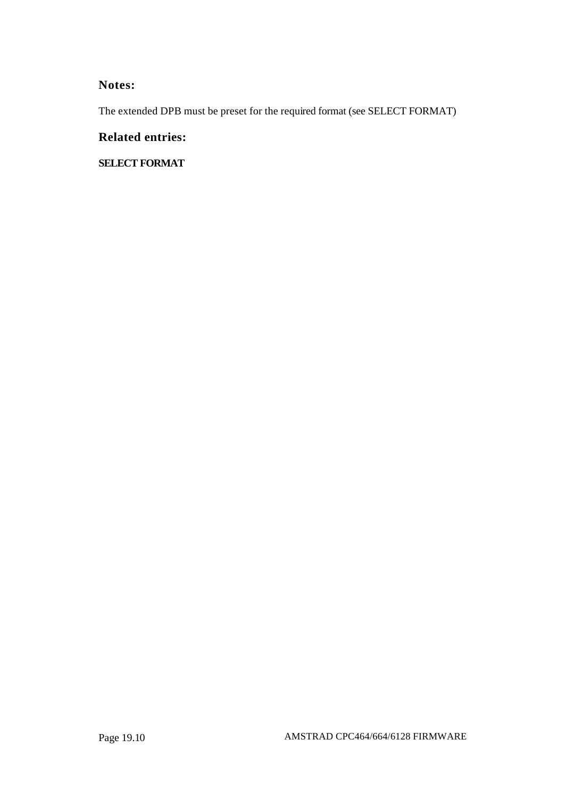### **Notes:**

The extended DPB must be preset for the required format (see SELECT FORMAT)

### **Related entries:**

**SELECT FORMAT**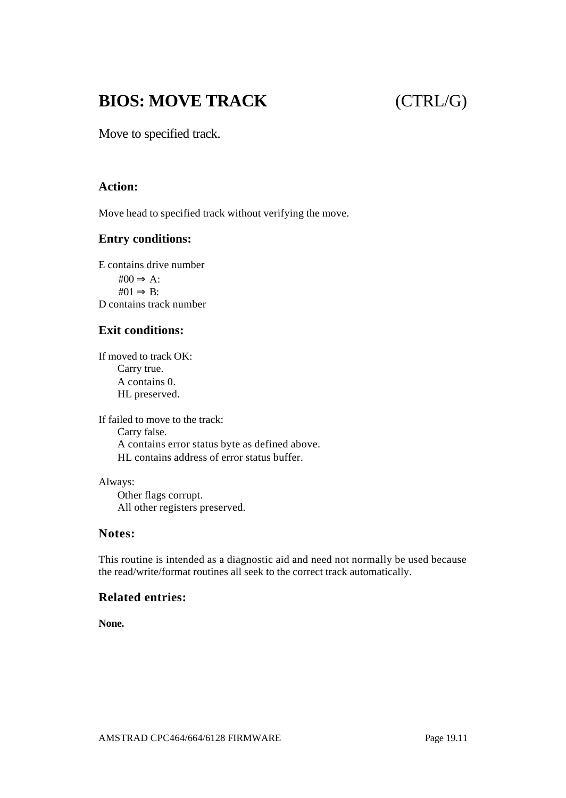## **BIOS: MOVE TRACK** (CTRL/G)

Move to specified track.

#### **Action:**

Move head to specified track without verifying the move.

#### **Entry conditions:**

E contains drive number  $\text{\#}00 \Rightarrow A$ :  $#01 \Rightarrow B:$ D contains track number

### **Exit conditions:**

If moved to track OK: Carry true. A contains 0. HL preserved.

If failed to move to the track: Carry false. A contains error status byte as defined above. HL contains address of error status buffer.

Always: Other flags corrupt. All other registers preserved.

#### **Notes:**

This routine is intended as a diagnostic aid and need not normally be used because the read/write/format routines all seek to the correct track automatically.

#### **Related entries:**

**None.**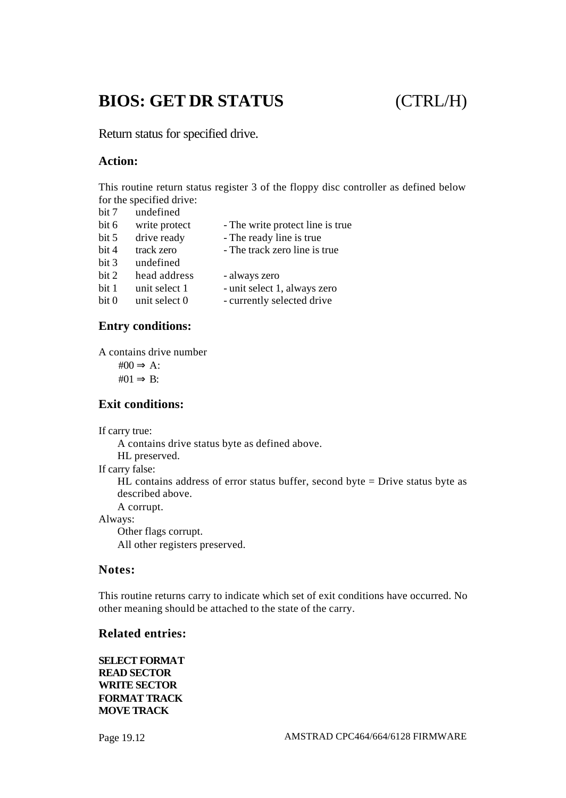## **BIOS: GET DR STATUS** (CTRL/H)

Return status for specified drive.

#### **Action:**

This routine return status register 3 of the floppy disc controller as defined below for the specified drive:<br> $\frac{1}{2}$  undefined

| bit 7            | undefined     |                                  |
|------------------|---------------|----------------------------------|
| bit 6            | write protect | - The write protect line is true |
| bit 5            | drive ready   | - The ready line is true         |
| bit 4            | track zero    | - The track zero line is true    |
| bit 3            | undefined     |                                  |
| bit 2            | head address  | - always zero                    |
| bit 1            | unit select 1 | - unit select 1, always zero     |
| bit <sub>0</sub> | unit select 0 | - currently selected drive       |
|                  |               |                                  |

#### **Entry conditions:**

A contains drive number

 $\text{\#}00 \Rightarrow A$ :  $#01 \Rightarrow B:$ 

#### **Exit conditions:**

If carry true:

A contains drive status byte as defined above. HL preserved. If carry false: HL contains address of error status buffer, second byte = Drive status byte as described above. A corrupt. Always: Other flags corrupt.

All other registers preserved.

#### **Notes:**

This routine returns carry to indicate which set of exit conditions have occurred. No other meaning should be attached to the state of the carry.

#### **Related entries:**

**SELECT FORMAT READ SECTOR WRITE SECTOR FORMAT TRACK MOVE TRACK**